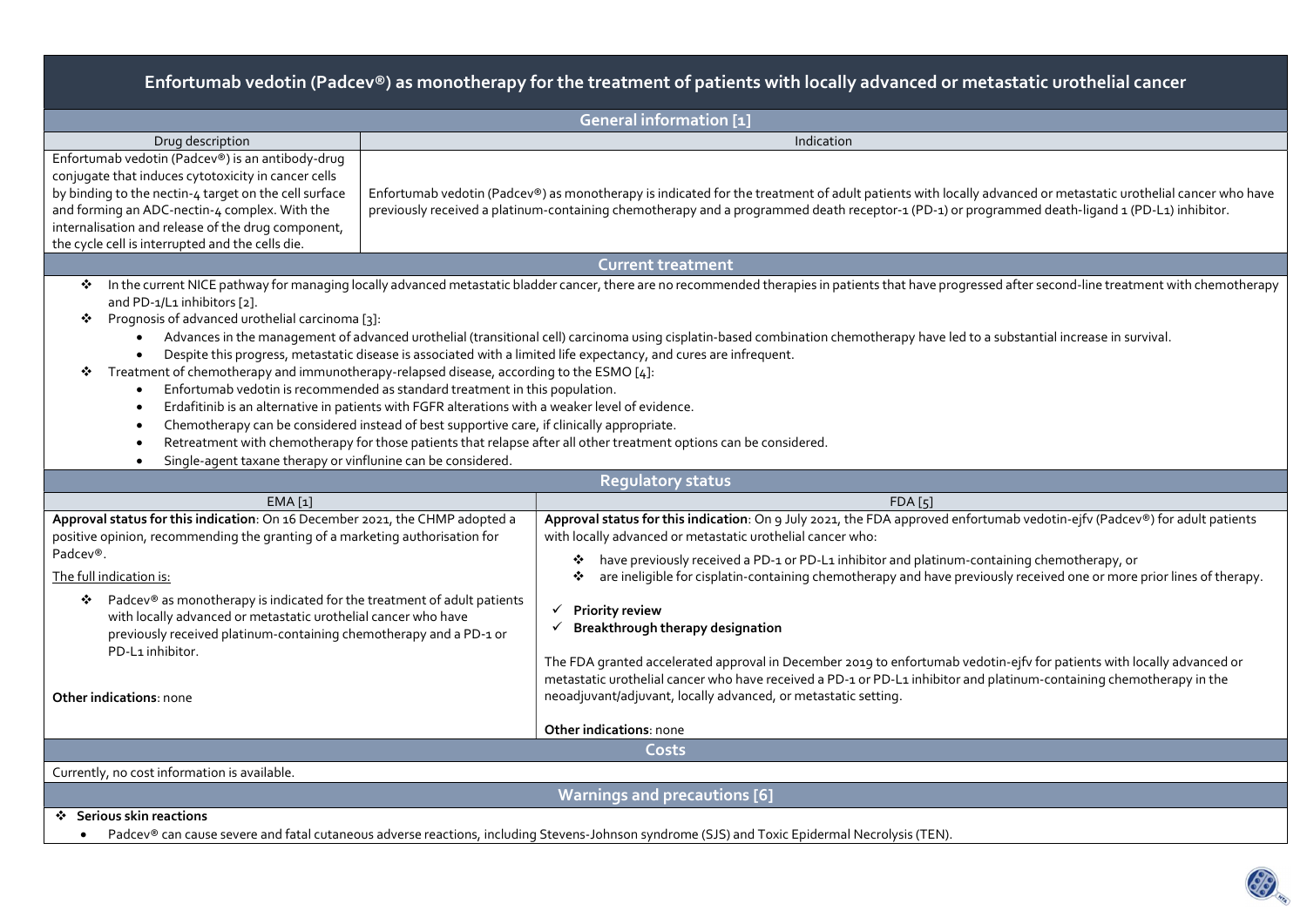# Enfortumab vedotin (Padcev®) as monotherapy for the treatment of patients with locally advanced or metastatic urothelial cancer

| <b>General information [1]</b>                                                                                                                                                                                                                                                                                                                                                                                                                                                                                                                                                                                                                                                                                                                                                                     |                                                                                                                                                                                                                                                                                                                                                                                                                                                                                                  |  |  |  |  |  |
|----------------------------------------------------------------------------------------------------------------------------------------------------------------------------------------------------------------------------------------------------------------------------------------------------------------------------------------------------------------------------------------------------------------------------------------------------------------------------------------------------------------------------------------------------------------------------------------------------------------------------------------------------------------------------------------------------------------------------------------------------------------------------------------------------|--------------------------------------------------------------------------------------------------------------------------------------------------------------------------------------------------------------------------------------------------------------------------------------------------------------------------------------------------------------------------------------------------------------------------------------------------------------------------------------------------|--|--|--|--|--|
| Drug description<br>Indication                                                                                                                                                                                                                                                                                                                                                                                                                                                                                                                                                                                                                                                                                                                                                                     |                                                                                                                                                                                                                                                                                                                                                                                                                                                                                                  |  |  |  |  |  |
| Enfortumab vedotin (Padcev®) is an antibody-drug<br>conjugate that induces cytotoxicity in cancer cells<br>by binding to the nectin-4 target on the cell surface<br>Enfortumab vedotin (Padcev®) as monotherapy is indicated for the treatment of adult patients with locally advanced or metastatic urothelial cancer who have<br>and forming an ADC-nectin-4 complex. With the<br>previously received a platinum-containing chemotherapy and a programmed death receptor-1 (PD-1) or programmed death-ligand 1 (PD-L1) inhibitor.<br>internalisation and release of the drug component,<br>the cycle cell is interrupted and the cells die.                                                                                                                                                      |                                                                                                                                                                                                                                                                                                                                                                                                                                                                                                  |  |  |  |  |  |
|                                                                                                                                                                                                                                                                                                                                                                                                                                                                                                                                                                                                                                                                                                                                                                                                    | <b>Current treatment</b>                                                                                                                                                                                                                                                                                                                                                                                                                                                                         |  |  |  |  |  |
| ❖<br>and PD-1/L1 inhibitors [2].<br>Prognosis of advanced urothelial carcinoma [3]:<br>❖<br>Despite this progress, metastatic disease is associated with a limited life expectancy, and cures are infrequent.<br>Treatment of chemotherapy and immunotherapy-relapsed disease, according to the ESMO [4]:<br>❖<br>Enfortumab vedotin is recommended as standard treatment in this population.<br>Erdafitinib is an alternative in patients with FGFR alterations with a weaker level of evidence.<br>Chemotherapy can be considered instead of best supportive care, if clinically appropriate.<br>Retreatment with chemotherapy for those patients that relapse after all other treatment options can be considered.<br>Single-agent taxane therapy or vinflunine can be considered.<br>$\bullet$ | In the current NICE pathway for managing locally advanced metastatic bladder cancer, there are no recommended therapies in patients that have progressed after second-line treatment with chemotherapy<br>Advances in the management of advanced urothelial (transitional cell) carcinoma using cisplatin-based combination chemotherapy have led to a substantial increase in survival.                                                                                                         |  |  |  |  |  |
|                                                                                                                                                                                                                                                                                                                                                                                                                                                                                                                                                                                                                                                                                                                                                                                                    | <b>Regulatory status</b>                                                                                                                                                                                                                                                                                                                                                                                                                                                                         |  |  |  |  |  |
| EMA [1]                                                                                                                                                                                                                                                                                                                                                                                                                                                                                                                                                                                                                                                                                                                                                                                            | <b>FDA</b> [5]                                                                                                                                                                                                                                                                                                                                                                                                                                                                                   |  |  |  |  |  |
| Approval status for this indication: On 16 December 2021, the CHMP adopted a<br>positive opinion, recommending the granting of a marketing authorisation for<br>Padcev®.<br>The full indication is:<br>Padcev® as monotherapy is indicated for the treatment of adult patients<br>❖<br>with locally advanced or metastatic urothelial cancer who have                                                                                                                                                                                                                                                                                                                                                                                                                                              | Approval status for this indication: On 9 July 2021, the FDA approved enfortumab vedotin-ejfv (Padcev®) for adult patients<br>with locally advanced or metastatic urothelial cancer who:<br>❖ have previously received a PD-1 or PD-L1 inhibitor and platinum-containing chemotherapy, or<br>are ineligible for cisplatin-containing chemotherapy and have previously received one or more prior lines of therapy.<br>❖<br>$\checkmark$ Priority review<br>Breakthrough therapy designation<br>✓ |  |  |  |  |  |
| previously received platinum-containing chemotherapy and a PD-1 or<br>PD-L1 inhibitor.<br><b>Other indications: none</b>                                                                                                                                                                                                                                                                                                                                                                                                                                                                                                                                                                                                                                                                           | The FDA granted accelerated approval in December 2019 to enfortumab vedotin-ejfv for patients with locally advanced or<br>metastatic urothelial cancer who have received a PD-1 or PD-L1 inhibitor and platinum-containing chemotherapy in the<br>neoadjuvant/adjuvant, locally advanced, or metastatic setting.                                                                                                                                                                                 |  |  |  |  |  |
| Other indications: none                                                                                                                                                                                                                                                                                                                                                                                                                                                                                                                                                                                                                                                                                                                                                                            |                                                                                                                                                                                                                                                                                                                                                                                                                                                                                                  |  |  |  |  |  |
| Costs                                                                                                                                                                                                                                                                                                                                                                                                                                                                                                                                                                                                                                                                                                                                                                                              |                                                                                                                                                                                                                                                                                                                                                                                                                                                                                                  |  |  |  |  |  |
| Currently, no cost information is available.                                                                                                                                                                                                                                                                                                                                                                                                                                                                                                                                                                                                                                                                                                                                                       |                                                                                                                                                                                                                                                                                                                                                                                                                                                                                                  |  |  |  |  |  |
|                                                                                                                                                                                                                                                                                                                                                                                                                                                                                                                                                                                                                                                                                                                                                                                                    | <b>Warnings and precautions [6]</b>                                                                                                                                                                                                                                                                                                                                                                                                                                                              |  |  |  |  |  |
| ❖ Serious skin reactions                                                                                                                                                                                                                                                                                                                                                                                                                                                                                                                                                                                                                                                                                                                                                                           |                                                                                                                                                                                                                                                                                                                                                                                                                                                                                                  |  |  |  |  |  |

Padcev® can cause severe and fatal cutaneous adverse reactions, including Stevens-Johnson syndrome (SJS) and Toxic Epidermal Necrolysis (TEN).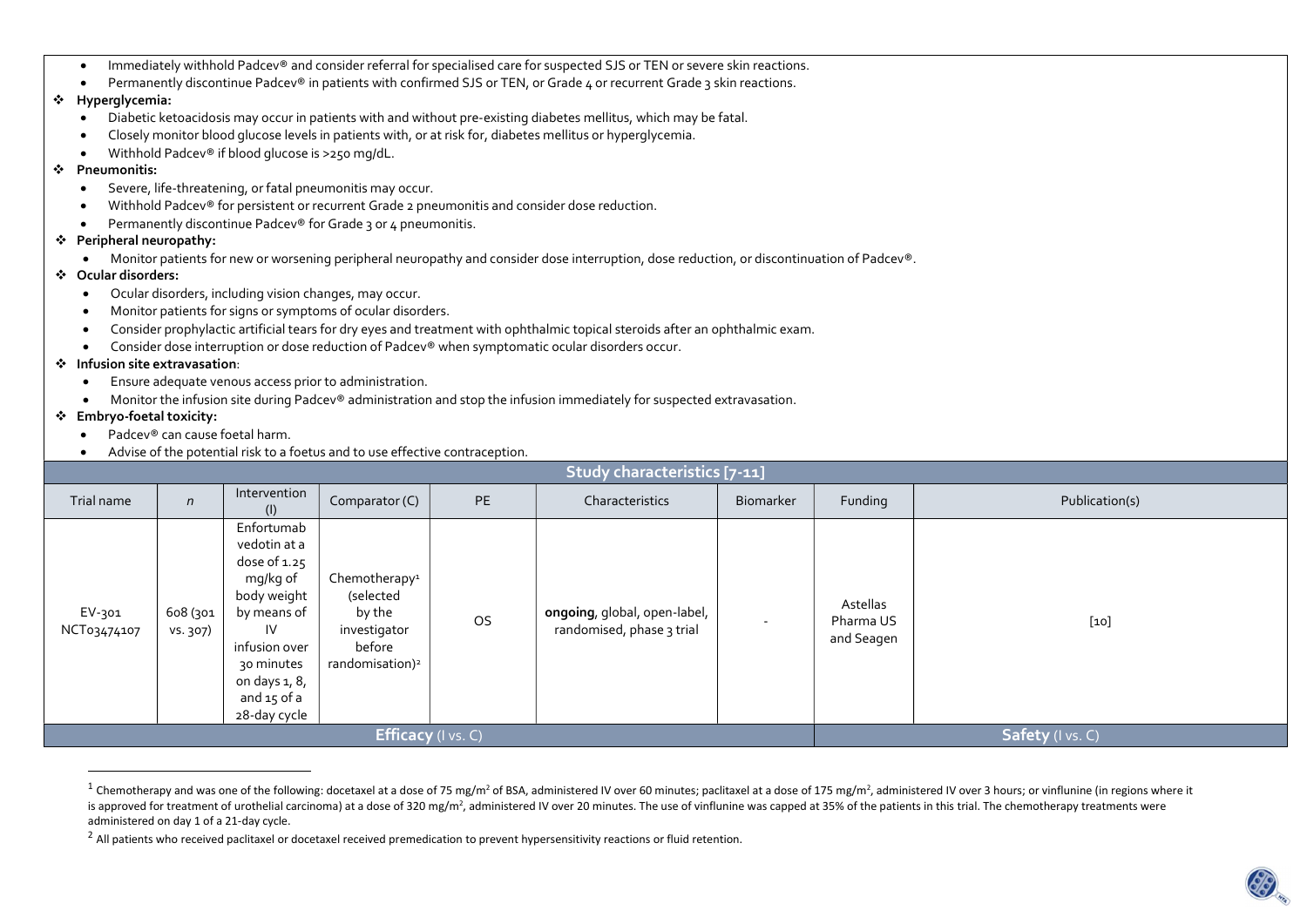- Immediately withhold Padcev® and consider referral for specialised care for suspected SJS or TEN or severe skin reactions.
- Permanently discontinue Padcey® in patients with confirmed SJS or TEN, or Grade 4 or recurrent Grade 3 skin reactions.

#### Hyperglycemia:

- Diabetic ketoacidosis may occur in patients with and without pre-existing diabetes mellitus, which may be fatal.
- Closely monitor blood glucose levels in patients with, or at risk for, diabetes mellitus or hyperglycemia.
- Withhold Padcev® if blood glucose is >250 mg/dL.

#### Pneumonitis:

- Severe, life-threatening, or fatal pneumonitis may occur.
- Withhold Padcev® for persistent or recurrent Grade 2 pneumonitis and consider dose reduction.
- Permanently discontinue Padcev® for Grade 3 or 4 pneumonitis.

## Peripheral neuropathy:

- Monitor patients for new or worsening peripheral neuropathy and consider dose interruption, dose reduction, or discontinuation of Padcev®.
- Ocular disorders:
	- Ocular disorders, including vision changes, may occur.
	- Monitor patients for signs or symptoms of ocular disorders.
	- Consider prophylactic artificial tears for dry eyes and treatment with ophthalmic topical steroids after an ophthalmic exam.
	- Consider dose interruption or dose reduction of Padcev® when symptomatic ocular disorders occur.

### Infusion site extravasation:

- Ensure adequate venous access prior to administration.
- Monitor the infusion site during Padcev® administration and stop the infusion immediately for suspected extravasation.

## Embryo-foetal toxicity:

 $\overline{a}$ 

- Padcev® can cause foetal harm.
- Advise of the potential risk to a foetus and to use effective contraception.

| Study characteristics [7-11] |                      |                                                                                                                                                                           |                                                                                                           |           |                                                           |           |                                     |                |
|------------------------------|----------------------|---------------------------------------------------------------------------------------------------------------------------------------------------------------------------|-----------------------------------------------------------------------------------------------------------|-----------|-----------------------------------------------------------|-----------|-------------------------------------|----------------|
| Trial name                   | $\mathsf{n}$         | Intervention<br>(1)                                                                                                                                                       | Comparator (C)                                                                                            | PE        | Characteristics                                           | Biomarker | Funding                             | Publication(s) |
| EV-301<br>NCT03474107        | 608 (301<br>vs. 307) | Enfortumab<br>vedotin at a<br>dose of 1.25<br>mg/kg of<br>body weight<br>by means of<br>IV<br>infusion over<br>30 minutes<br>on days 1, 8,<br>and 15 of a<br>28-day cycle | Chemotherapy <sup>1</sup><br>(selected<br>by the<br>investigator<br>before<br>randomisation) <sup>2</sup> | <b>OS</b> | ongoing, global, open-label,<br>randomised, phase 3 trial |           | Astellas<br>Pharma US<br>and Seagen | $[10]$         |
| <b>Efficacy</b> (I vs. C)    |                      |                                                                                                                                                                           |                                                                                                           |           |                                                           |           | Safety (I vs. C)                    |                |

<sup>&</sup>lt;sup>1</sup> Chemotherapy and was one of the following: docetaxel at a dose of 75 mg/m<sup>2</sup> of BSA, administered IV over 60 minutes; paclitaxel at a dose of 175 mg/m<sup>2</sup>, administered IV over 3 hours; or vinflunine (in regions where is approved for treatment of urothelial carcinoma) at a dose of 320 mg/m<sup>2</sup>, administered IV over 20 minutes. The use of vinflunine was capped at 35% of the patients in this trial. The chemotherapy treatments were administered on day 1 of a 21-day cycle.

<sup>&</sup>lt;sup>2</sup> All patients who received paclitaxel or docetaxel received premedication to prevent hypersensitivity reactions or fluid retention.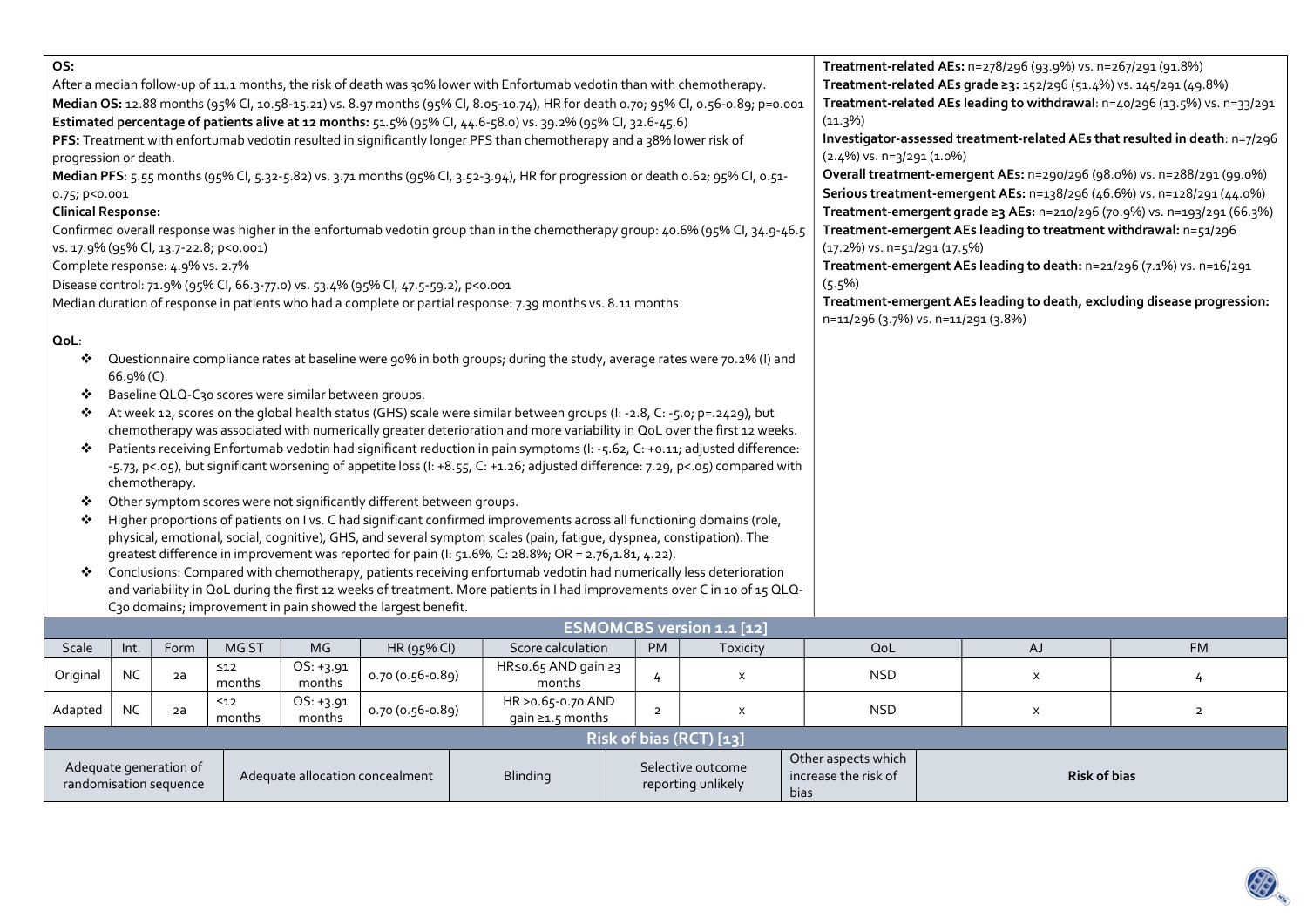| Median OS: 12.88 months (95% Cl, 10.58-15.21) vs. 8.97 months (95% Cl, 8.05-10.74), HR for death 0.70; 95% Cl, 0.56-0.89; p=0.001<br>Estimated percentage of patients alive at 12 months: 51.5% (95% Cl, 44.6-58.0) vs. 39.2% (95% Cl, 32.6-45.6)<br>PFS: Treatment with enfortumab vedotin resulted in significantly longer PFS than chemotherapy and a 38% lower risk of<br>progression or death.<br>Median PFS: 5.55 months (95% Cl, 5.32-5.82) vs. 3.71 months (95% Cl, 3.52-3.94), HR for progression or death 0.62; 95% Cl, 0.51-<br>0.75; p<0.001<br><b>Clinical Response:</b><br>Confirmed overall response was higher in the enfortumab vedotin group than in the chemotherapy group: 40.6% (95% Cl, 34.9-46.5)<br>vs. 17.9% (95% Cl, 13.7-22.8; p<0.001)<br>Complete response: 4.9% vs. 2.7%<br>Disease control: 71.9% (95% CI, 66.3-77.0) vs. 53.4% (95% CI, 47.5-59.2), p<0.001<br>Median duration of response in patients who had a complete or partial response: 7.39 months vs. 8.11 months<br>QoL:<br>Questionnaire compliance rates at baseline were 90% in both groups; during the study, average rates were 70.2% (I) and<br>❖<br>66.9% (C).<br>Baseline QLQ-C30 scores were similar between groups.<br>❖<br>At week 12, scores on the global health status (GHS) scale were similar between groups (I: -2.8, C: -5.0; p=.2429), but<br>❖<br>chemotherapy was associated with numerically greater deterioration and more variability in QoL over the first 12 weeks.<br>Patients receiving Enfortumab vedotin had significant reduction in pain symptoms (I: -5.62, C: +0.11; adjusted difference:<br>❖<br>-5.73, p<.05), but significant worsening of appetite loss (I: +8.55, C: +1.26; adjusted difference: 7.29, p<.05) compared with<br>chemotherapy.<br>Other symptom scores were not significantly different between groups.<br>❖<br>Higher proportions of patients on I vs. C had significant confirmed improvements across all functioning domains (role,<br>❖<br>physical, emotional, social, cognitive), GHS, and several symptom scales (pain, fatigue, dyspnea, constipation). The<br>greatest difference in improvement was reported for pain (I: 51.6%, C: 28.8%; OR = 2.76,1.81, 4.22). |           |                        |                     |                       | Treatment-related AEs: n=278/296 (93.9%) vs. n=267/291 (91.8%)<br>Treatment-related AEs grade 23: 152/296 (51.4%) vs. 145/291 (49.8%)<br>Treatment-related AEs leading to withdrawal: n=40/296 (13.5%) vs. n=33/291<br>$(11.3\%)$<br>Investigator-assessed treatment-related AEs that resulted in death: n=7/296<br>$(2.4\%)$ vs. n=3/291 (1.0%)<br>Overall treatment-emergent AEs: n=290/296 (98.0%) vs. n=288/291 (99.0%)<br>Serious treatment-emergent AEs: n=138/296 (46.6%) vs. n=128/291 (44.0%)<br>Treatment-emergent grade 23 AEs: n=210/296 (70.9%) vs. n=193/291 (66.3%)<br>Treatment-emergent AEs leading to treatment withdrawal: n=51/296<br>$(17.2\%)$ vs. n=51/291 (17.5%)<br>Treatment-emergent AEs leading to death: n=21/296 (7.1%) vs. n=16/291<br>$(5.5\%)$<br>Treatment-emergent AEs leading to death, excluding disease progression:<br>n=11/296 (3.7%) vs. n=11/291 (3.8%) |                                        |                |                           |                     |    |                |
|----------------------------------------------------------------------------------------------------------------------------------------------------------------------------------------------------------------------------------------------------------------------------------------------------------------------------------------------------------------------------------------------------------------------------------------------------------------------------------------------------------------------------------------------------------------------------------------------------------------------------------------------------------------------------------------------------------------------------------------------------------------------------------------------------------------------------------------------------------------------------------------------------------------------------------------------------------------------------------------------------------------------------------------------------------------------------------------------------------------------------------------------------------------------------------------------------------------------------------------------------------------------------------------------------------------------------------------------------------------------------------------------------------------------------------------------------------------------------------------------------------------------------------------------------------------------------------------------------------------------------------------------------------------------------------------------------------------------------------------------------------------------------------------------------------------------------------------------------------------------------------------------------------------------------------------------------------------------------------------------------------------------------------------------------------------------------------------------------------------------------------------------------------------------------------------------------------------------------|-----------|------------------------|---------------------|-----------------------|---------------------------------------------------------------------------------------------------------------------------------------------------------------------------------------------------------------------------------------------------------------------------------------------------------------------------------------------------------------------------------------------------------------------------------------------------------------------------------------------------------------------------------------------------------------------------------------------------------------------------------------------------------------------------------------------------------------------------------------------------------------------------------------------------------------------------------------------------------------------------------------------------|----------------------------------------|----------------|---------------------------|---------------------|----|----------------|
|                                                                                                                                                                                                                                                                                                                                                                                                                                                                                                                                                                                                                                                                                                                                                                                                                                                                                                                                                                                                                                                                                                                                                                                                                                                                                                                                                                                                                                                                                                                                                                                                                                                                                                                                                                                                                                                                                                                                                                                                                                                                                                                                                                                                                            |           |                        |                     |                       |                                                                                                                                                                                                                                                                                                                                                                                                                                                                                                                                                                                                                                                                                                                                                                                                                                                                                                   |                                        |                |                           |                     |    |                |
| Conclusions: Compared with chemotherapy, patients receiving enfortumab vedotin had numerically less deterioration                                                                                                                                                                                                                                                                                                                                                                                                                                                                                                                                                                                                                                                                                                                                                                                                                                                                                                                                                                                                                                                                                                                                                                                                                                                                                                                                                                                                                                                                                                                                                                                                                                                                                                                                                                                                                                                                                                                                                                                                                                                                                                          |           |                        |                     |                       |                                                                                                                                                                                                                                                                                                                                                                                                                                                                                                                                                                                                                                                                                                                                                                                                                                                                                                   |                                        |                |                           |                     |    |                |
| and variability in QoL during the first 12 weeks of treatment. More patients in I had improvements over C in 10 of 15 QLQ-                                                                                                                                                                                                                                                                                                                                                                                                                                                                                                                                                                                                                                                                                                                                                                                                                                                                                                                                                                                                                                                                                                                                                                                                                                                                                                                                                                                                                                                                                                                                                                                                                                                                                                                                                                                                                                                                                                                                                                                                                                                                                                 |           |                        |                     |                       |                                                                                                                                                                                                                                                                                                                                                                                                                                                                                                                                                                                                                                                                                                                                                                                                                                                                                                   |                                        |                |                           |                     |    |                |
| C30 domains; improvement in pain showed the largest benefit.                                                                                                                                                                                                                                                                                                                                                                                                                                                                                                                                                                                                                                                                                                                                                                                                                                                                                                                                                                                                                                                                                                                                                                                                                                                                                                                                                                                                                                                                                                                                                                                                                                                                                                                                                                                                                                                                                                                                                                                                                                                                                                                                                               |           |                        |                     |                       |                                                                                                                                                                                                                                                                                                                                                                                                                                                                                                                                                                                                                                                                                                                                                                                                                                                                                                   |                                        |                |                           |                     |    |                |
| <b>ESMOMCBS version 1.1 [12]</b>                                                                                                                                                                                                                                                                                                                                                                                                                                                                                                                                                                                                                                                                                                                                                                                                                                                                                                                                                                                                                                                                                                                                                                                                                                                                                                                                                                                                                                                                                                                                                                                                                                                                                                                                                                                                                                                                                                                                                                                                                                                                                                                                                                                           |           |                        |                     |                       |                                                                                                                                                                                                                                                                                                                                                                                                                                                                                                                                                                                                                                                                                                                                                                                                                                                                                                   |                                        |                |                           |                     |    |                |
| Scale                                                                                                                                                                                                                                                                                                                                                                                                                                                                                                                                                                                                                                                                                                                                                                                                                                                                                                                                                                                                                                                                                                                                                                                                                                                                                                                                                                                                                                                                                                                                                                                                                                                                                                                                                                                                                                                                                                                                                                                                                                                                                                                                                                                                                      | Int.      | Form                   | MG ST               | MG                    | HR (95% CI)                                                                                                                                                                                                                                                                                                                                                                                                                                                                                                                                                                                                                                                                                                                                                                                                                                                                                       | Score calculation                      | PM             | Toxicity                  | QoL                 | AJ | <b>FM</b>      |
| Original                                                                                                                                                                                                                                                                                                                                                                                                                                                                                                                                                                                                                                                                                                                                                                                                                                                                                                                                                                                                                                                                                                                                                                                                                                                                                                                                                                                                                                                                                                                                                                                                                                                                                                                                                                                                                                                                                                                                                                                                                                                                                                                                                                                                                   | <b>NC</b> | 2a                     | $\leq 12$<br>months | $OS: +3.91$<br>months | 0.70 (0.56-0.89)                                                                                                                                                                                                                                                                                                                                                                                                                                                                                                                                                                                                                                                                                                                                                                                                                                                                                  | HR≤o.65 AND gain ≥3<br>months          | $\frac{1}{4}$  | $\boldsymbol{\mathsf{x}}$ | <b>NSD</b>          | X  | $\frac{1}{2}$  |
| Adapted                                                                                                                                                                                                                                                                                                                                                                                                                                                                                                                                                                                                                                                                                                                                                                                                                                                                                                                                                                                                                                                                                                                                                                                                                                                                                                                                                                                                                                                                                                                                                                                                                                                                                                                                                                                                                                                                                                                                                                                                                                                                                                                                                                                                                    | <b>NC</b> | 2a                     | $\leq 12$<br>months | OS: +3.91<br>months   | 0.70 (0.56-0.89)                                                                                                                                                                                                                                                                                                                                                                                                                                                                                                                                                                                                                                                                                                                                                                                                                                                                                  | HR > 0.65-0.70 AND<br>gain ≥1.5 months | $\overline{2}$ | $\boldsymbol{\mathsf{x}}$ | <b>NSD</b>          | X  | $\overline{2}$ |
| Risk of bias (RCT) [13]                                                                                                                                                                                                                                                                                                                                                                                                                                                                                                                                                                                                                                                                                                                                                                                                                                                                                                                                                                                                                                                                                                                                                                                                                                                                                                                                                                                                                                                                                                                                                                                                                                                                                                                                                                                                                                                                                                                                                                                                                                                                                                                                                                                                    |           |                        |                     |                       |                                                                                                                                                                                                                                                                                                                                                                                                                                                                                                                                                                                                                                                                                                                                                                                                                                                                                                   |                                        |                |                           |                     |    |                |
|                                                                                                                                                                                                                                                                                                                                                                                                                                                                                                                                                                                                                                                                                                                                                                                                                                                                                                                                                                                                                                                                                                                                                                                                                                                                                                                                                                                                                                                                                                                                                                                                                                                                                                                                                                                                                                                                                                                                                                                                                                                                                                                                                                                                                            |           | Adequate generation of |                     |                       |                                                                                                                                                                                                                                                                                                                                                                                                                                                                                                                                                                                                                                                                                                                                                                                                                                                                                                   |                                        |                | Selective outcome         | Other aspects which |    |                |

| $N$ ISK UI DIdS (RCT) [13]                       |                                 |          |                                         |                                                                                  |                     |  |  |
|--------------------------------------------------|---------------------------------|----------|-----------------------------------------|----------------------------------------------------------------------------------|---------------------|--|--|
| Adequate generation of<br>randomisation sequence | Adequate allocation concealment | Blinding | Selective outcome<br>reporting unlikely | Other aspects which<br>$^{\circ}$ increase the risk of $^{\circ}$<br><b>bias</b> | <b>Risk of bias</b> |  |  |